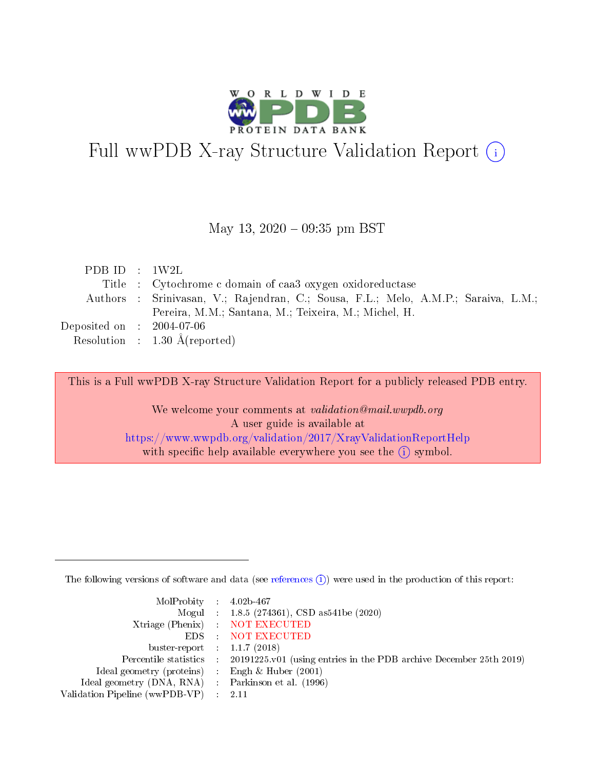

# Full wwPDB X-ray Structure Validation Report (i)

### May 13,  $2020 - 09:35$  pm BST

| PDBID : 1W2L                        |                                                                                    |
|-------------------------------------|------------------------------------------------------------------------------------|
|                                     | Title : Cytochrome c domain of caa3 oxygen oxidoreductase                          |
|                                     | Authors : Srinivasan, V.; Rajendran, C.; Sousa, F.L.; Melo, A.M.P.; Saraiva, L.M.; |
|                                     | Pereira, M.M.; Santana, M.; Teixeira, M.; Michel, H.                               |
| Deposited on $\,$ : 2004-07-06 $\,$ |                                                                                    |
|                                     | Resolution : $1.30 \text{ Å}$ (reported)                                           |

This is a Full wwPDB X-ray Structure Validation Report for a publicly released PDB entry.

We welcome your comments at validation@mail.wwpdb.org A user guide is available at <https://www.wwpdb.org/validation/2017/XrayValidationReportHelp> with specific help available everywhere you see the  $(i)$  symbol.

The following versions of software and data (see [references](https://www.wwpdb.org/validation/2017/XrayValidationReportHelp#references)  $(i)$ ) were used in the production of this report:

| MolProbity : $4.02b-467$                            |                                                                                            |
|-----------------------------------------------------|--------------------------------------------------------------------------------------------|
|                                                     | Mogul : 1.8.5 (274361), CSD as541be (2020)                                                 |
|                                                     | Xtriage (Phenix) NOT EXECUTED                                                              |
|                                                     | EDS : NOT EXECUTED                                                                         |
| buster-report : $1.1.7(2018)$                       |                                                                                            |
|                                                     | Percentile statistics : 20191225.v01 (using entries in the PDB archive December 25th 2019) |
| Ideal geometry (proteins) : Engh $\&$ Huber (2001)  |                                                                                            |
| Ideal geometry (DNA, RNA) : Parkinson et al. (1996) |                                                                                            |
| Validation Pipeline (wwPDB-VP) :                    | - 2.11                                                                                     |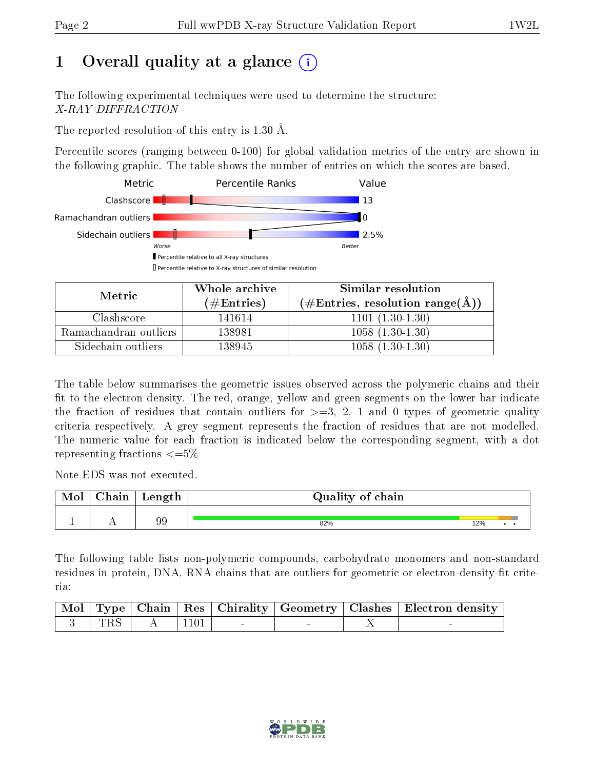# 1 [O](https://www.wwpdb.org/validation/2017/XrayValidationReportHelp#overall_quality)verall quality at a glance  $(i)$

The following experimental techniques were used to determine the structure: X-RAY DIFFRACTION

The reported resolution of this entry is 1.30 Å.

Percentile scores (ranging between 0-100) for global validation metrics of the entry are shown in the following graphic. The table shows the number of entries on which the scores are based.



| Metric                | Whole archive        | Similar resolution                                         |
|-----------------------|----------------------|------------------------------------------------------------|
|                       | $(\#\text{Entries})$ | $(\#\text{Entries}, \text{resolution range}(\text{\AA}) )$ |
| Clashscore            | 141614               | $1101(1.30-1.30)$                                          |
| Ramachandran outliers | 138981               | $1058(1.30-1.30)$                                          |
| Sidechain outliers    | 138945               | $1058(1.30-1.30)$                                          |

The table below summarises the geometric issues observed across the polymeric chains and their fit to the electron density. The red, orange, yellow and green segments on the lower bar indicate the fraction of residues that contain outliers for  $\geq=3$ , 2, 1 and 0 types of geometric quality criteria respectively. A grey segment represents the fraction of residues that are not modelled. The numeric value for each fraction is indicated below the corresponding segment, with a dot representing fractions  $\leq=5\%$ 

Note EDS was not executed.

| Mol | ${\rm Chain}$ | Length | Quality of chain |     |  |
|-----|---------------|--------|------------------|-----|--|
|     |               |        |                  |     |  |
|     | . .           | 99     | 82%              | 12% |  |

The following table lists non-polymeric compounds, carbohydrate monomers and non-standard residues in protein, DNA, RNA chains that are outliers for geometric or electron-density-fit criteria:

|     |      |  | Mol   Type   Chain   Res   Chirality   Geometry   Clashes   Electron density |
|-----|------|--|------------------------------------------------------------------------------|
| TRS | 1101 |  |                                                                              |

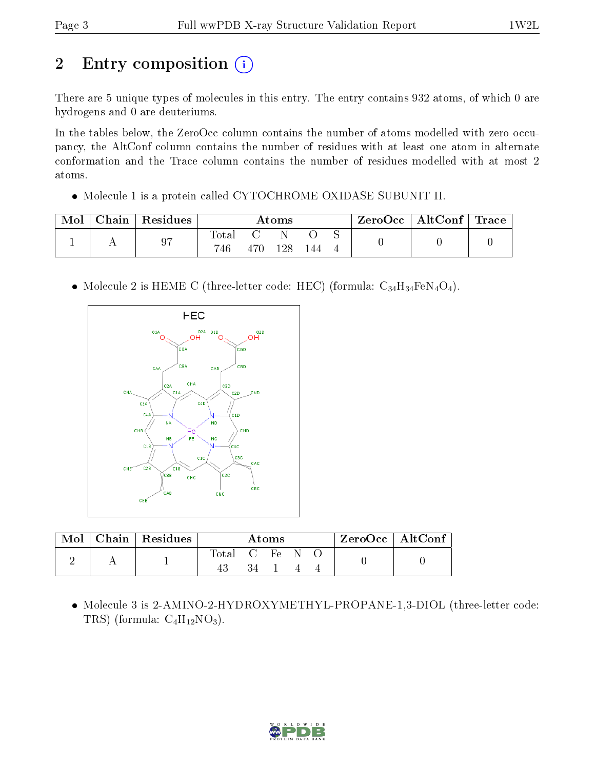# 2 Entry composition (i)

There are 5 unique types of molecules in this entry. The entry contains 932 atoms, of which 0 are hydrogens and 0 are deuteriums.

In the tables below, the ZeroOcc column contains the number of atoms modelled with zero occupancy, the AltConf column contains the number of residues with at least one atom in alternate conformation and the Trace column contains the number of residues modelled with at most 2 atoms.

Molecule 1 is a protein called CYTOCHROME OXIDASE SUBUNIT II.

| Mol | Chain   Residues | Atoms       |  |    |  |  | ZeroOcc   AltConf   Trace |  |
|-----|------------------|-------------|--|----|--|--|---------------------------|--|
|     | 07               | Total<br>46 |  | 28 |  |  |                           |  |
|     |                  |             |  |    |  |  |                           |  |

• Molecule 2 is HEME C (three-letter code: HEC) (formula:  $C_{34}H_{34}FeN_4O_4$ ).



|  | Mol   Chain   Residues | Atoms      |  |  | ZeroOcc   AltConf |  |  |
|--|------------------------|------------|--|--|-------------------|--|--|
|  |                        | Total C Fe |  |  |                   |  |  |
|  |                        |            |  |  |                   |  |  |

 Molecule 3 is 2-AMINO-2-HYDROXYMETHYL-PROPANE-1,3-DIOL (three-letter code: TRS) (formula:  $C_4H_{12}NO_3$ ).

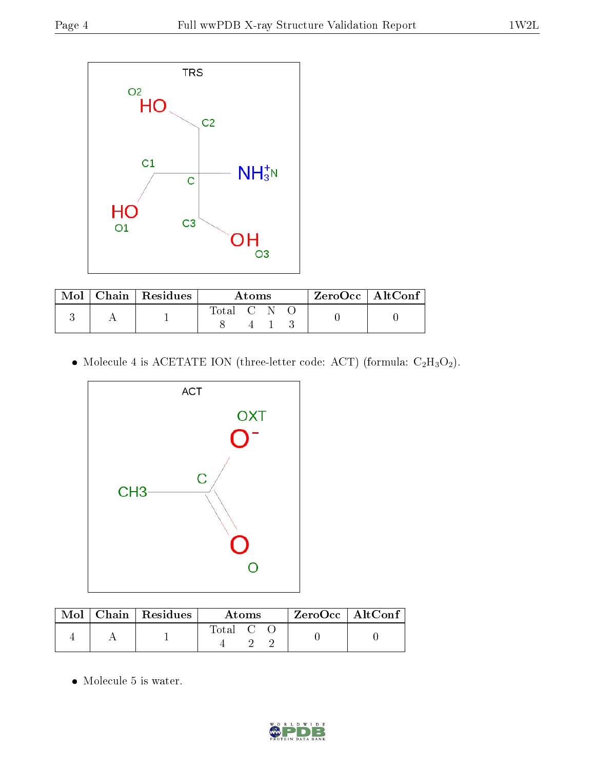

|  | $\text{Mol}$   Chain   Residues | A toms |  |  |  | $ZeroOcc \mid AltConf \mid$ |
|--|---------------------------------|--------|--|--|--|-----------------------------|
|  |                                 |        |  |  |  |                             |

 $\bullet$  Molecule 4 is ACETATE ION (three-letter code: ACT) (formula:  $\rm{C_2H_3O_2}).$ 



|  | Mol   Chain   Residues | Atoms     |  |  | $\rm{ZeroOcc}$   Alt $\overline{\rm{Conf}}$ , |  |
|--|------------------------|-----------|--|--|-----------------------------------------------|--|
|  |                        | Total C C |  |  |                                               |  |

• Molecule 5 is water.

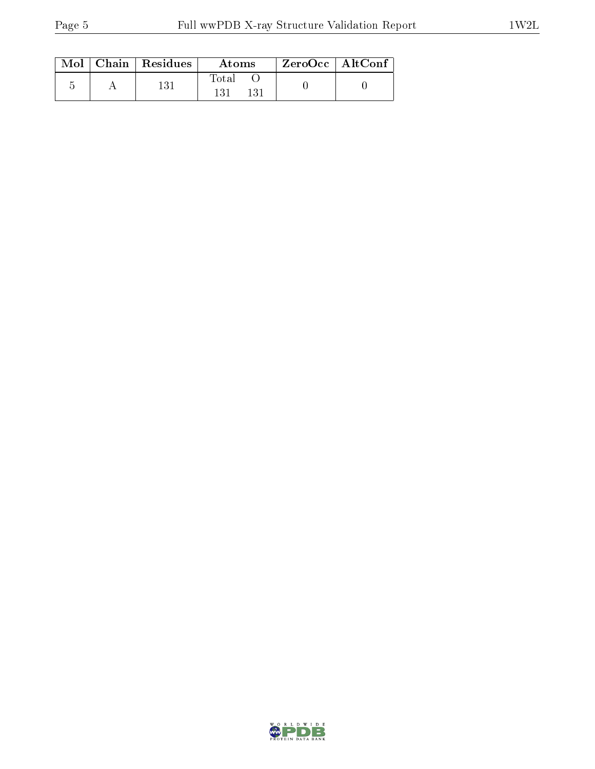|  | $Mol$   Chain   Residues | Atoms | $ZeroOcc \   \ AltConf$ |  |
|--|--------------------------|-------|-------------------------|--|
|  | 131                      | Total |                         |  |

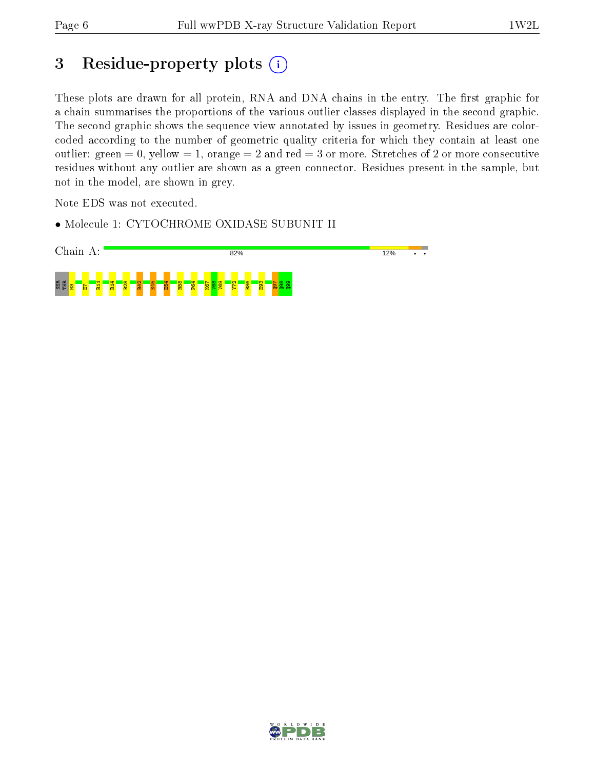## 3 Residue-property plots (i)

These plots are drawn for all protein, RNA and DNA chains in the entry. The first graphic for a chain summarises the proportions of the various outlier classes displayed in the second graphic. The second graphic shows the sequence view annotated by issues in geometry. Residues are colorcoded according to the number of geometric quality criteria for which they contain at least one outlier: green  $= 0$ , yellow  $= 1$ , orange  $= 2$  and red  $= 3$  or more. Stretches of 2 or more consecutive residues without any outlier are shown as a green connector. Residues present in the sample, but not in the model, are shown in grey.

Note EDS was not executed.

• Molecule 1: CYTOCHROME OXIDASE SUBUNIT II



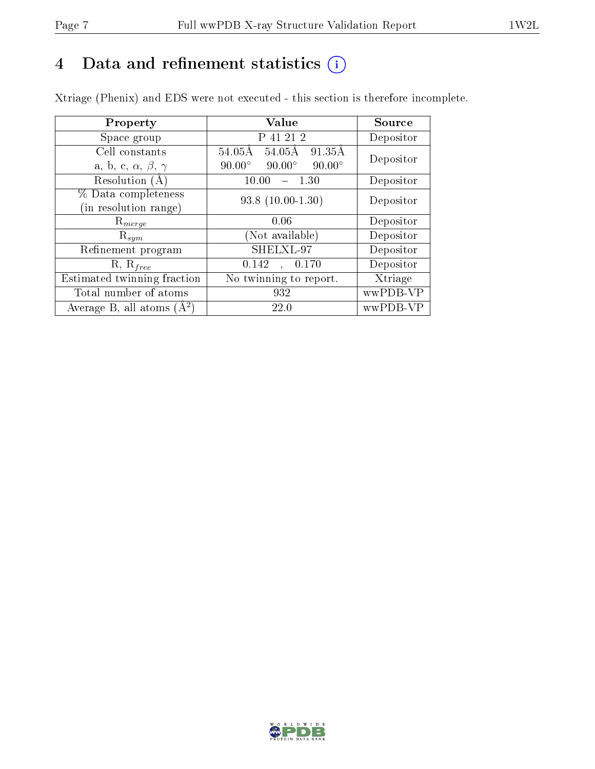# 4 Data and refinement statistics  $(i)$

Xtriage (Phenix) and EDS were not executed - this section is therefore incomplete.

| Property                               | <b>Value</b>                                    | Source    |  |
|----------------------------------------|-------------------------------------------------|-----------|--|
| Space group                            | P 41 21 2                                       | Depositor |  |
| Cell constants                         | $54.05\text{\AA}$<br>91.35Å<br>54.05Å           | Depositor |  |
| a, b, c, $\alpha$ , $\beta$ , $\gamma$ | $90.00^\circ$<br>$90.00^\circ$<br>$90.00^\circ$ |           |  |
| Resolution (A)                         | 10.00<br>1.30                                   | Depositor |  |
| % Data completeness                    | $93.8(10.00-1.30)$                              | Depositor |  |
| (in resolution range)                  |                                                 |           |  |
| $R_{merge}$                            | 0.06                                            | Depositor |  |
| $\mathrm{R}_{sym}$                     | (Not available)                                 | Depositor |  |
| Refinement program                     | SHELXL-97                                       | Depositor |  |
| $R, R_{free}$                          | 0.142<br>0.170<br>$\ddot{\phantom{a}}$          | Depositor |  |
| Estimated twinning fraction            | No twinning to report.                          | Xtriage   |  |
| Total number of atoms                  | 932                                             | wwPDB-VP  |  |
| Average B, all atoms $(A^2)$           | 22.0                                            | wwPDB-VP  |  |

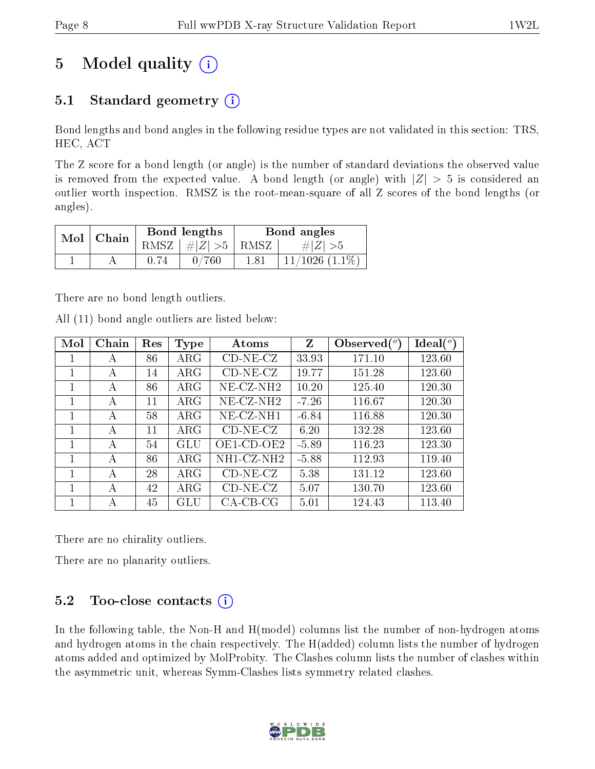# 5 Model quality  $(i)$

## 5.1 Standard geometry  $(i)$

Bond lengths and bond angles in the following residue types are not validated in this section: TRS, HEC, ACT

The Z score for a bond length (or angle) is the number of standard deviations the observed value is removed from the expected value. A bond length (or angle) with  $|Z| > 5$  is considered an outlier worth inspection. RMSZ is the root-mean-square of all Z scores of the bond lengths (or angles).

|            | Chain | Bond lengths                 | Bond angles |                     |  |
|------------|-------|------------------------------|-------------|---------------------|--|
| $Mol \mid$ |       | RMSZ $\mid \#Z \mid >5$ RMSZ |             | $\# Z  > 5$         |  |
|            |       | 760                          | 1.81        | $11/1026$ $(1.1\%)$ |  |

There are no bond length outliers.

|  |  | All (11) bond angle outliers are listed below: |  |  |
|--|--|------------------------------------------------|--|--|
|  |  |                                                |  |  |

| Mol | Chain | Res | Type       | Atoms                 | Z       | Observed $(°)$ | Ideal $(^\circ)$ |
|-----|-------|-----|------------|-----------------------|---------|----------------|------------------|
| 1   | А     | 86  | $\rm{ARG}$ | $CD-NE- CZ$           | 33.93   | 171.10         | 123.60           |
| 1   | А     | 14  | $\rm{ARG}$ | $CD-NE- CZ$           | 19.77   | 151.28         | 123.60           |
|     | А     | 86  | $\rm{ARG}$ | $NE- CZ-NH2$          | 10.20   | 125.40         | 120.30           |
|     | А     | 11  | $\rm{ARG}$ | NE-CZ-NH <sub>2</sub> | $-7.26$ | 116.67         | 120.30           |
| 1   | А     | 58  | $\rm{ARG}$ | NE-CZ-NH1             | $-6.84$ | 116.88         | 120.30           |
| 1   | А     | 11  | $\rm{ARG}$ | $CD-NE- CZ$           | 6.20    | 132.28         | 123.60           |
| 1   | А     | 54  | GLU        | OE1-CD-OE2            | $-5.89$ | 116.23         | 123.30           |
|     | А     | 86  | $\rm{ARG}$ | NH1-CZ-NH2            | $-5.88$ | 112.93         | 119.40           |
| 1   | А     | 28  | $\rm{ARG}$ | $CD-NE- CZ$           | 5.38    | 131.12         | 123.60           |
| 1   | А     | 42  | $\rm{ARG}$ | $CD-NE- CZ$           | 5.07    | 130.70         | 123.60           |
|     | А     | 45  | GLU        | $CA-CB-CG$            | 5.01    | 124.43         | 113.40           |

There are no chirality outliers.

There are no planarity outliers.

## $5.2$  Too-close contacts  $(i)$

In the following table, the Non-H and H(model) columns list the number of non-hydrogen atoms and hydrogen atoms in the chain respectively. The H(added) column lists the number of hydrogen atoms added and optimized by MolProbity. The Clashes column lists the number of clashes within the asymmetric unit, whereas Symm-Clashes lists symmetry related clashes.

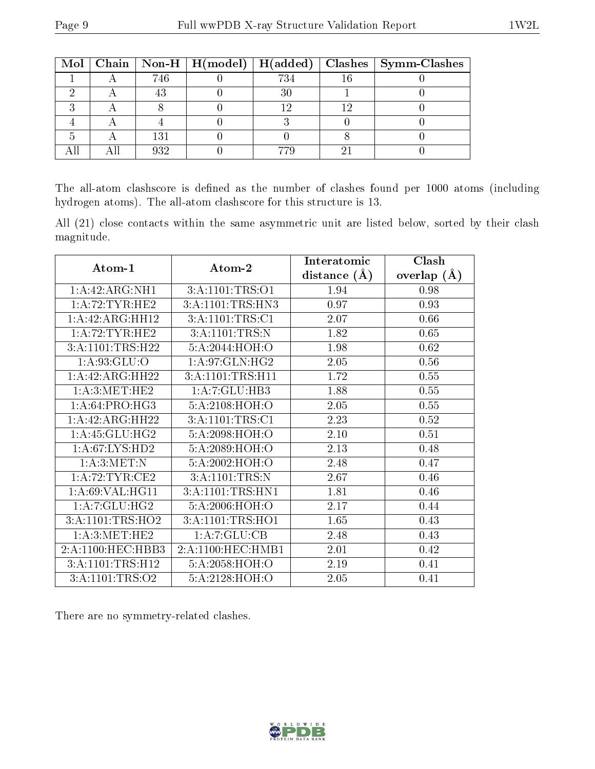|  |     |      | Mol   Chain   Non-H   H(model)   H(added)   Clashes   Symm-Clashes |
|--|-----|------|--------------------------------------------------------------------|
|  | 746 | 734  |                                                                    |
|  |     |      |                                                                    |
|  |     | 1 ດ. |                                                                    |
|  |     |      |                                                                    |
|  | 131 |      |                                                                    |
|  | 039 |      |                                                                    |

The all-atom clashscore is defined as the number of clashes found per 1000 atoms (including hydrogen atoms). The all-atom clashscore for this structure is 13.

All (21) close contacts within the same asymmetric unit are listed below, sorted by their clash magnitude.

|                   |                              | Interatomic       | Clash         |
|-------------------|------------------------------|-------------------|---------------|
| Atom-1            | Atom-2                       | distance $(A)$    | overlap $(A)$ |
| 1:A:42:ARG:NH1    | 3: A: 1101: TRS: O1          | 1.94              | 0.98          |
| 1: A:72:TYR:HE2   | 3:A:1101:TRS:HN3             | 0.97              | 0.93          |
| 1:A:42:ARG:HH12   | 3:A:1101:TRS:Cl              | 2.07              | 0.66          |
| 1:A:72:TYR:HE2    | 3:A:1101:TRS:N               | 1.82              | 0.65          |
| 3:A:1101:TRS:H22  | 5:A:2044:HOH:O               | 1.98              | 0.62          |
| 1: A:93: GLU:O    | 1:A:97:GLN:HG2               | 2.05              | 0.56          |
| 1:A:42:ARG:HH22   | 3:A:1101:TRS:H11             | 1.72              | 0.55          |
| 1: A:3: MET:HE2   | 1:A:7:GLU:HB3                | 1.88              | 0.55          |
| 1:A:64:PRO:HG3    | 5:A:2108:HOH:O               | 2.05              | 0.55          |
| 1:A:42:ARG:HH22   | 3:A:1101:TRS:Cl              | 2.23              | 0.52          |
| 1: A:45: GLU:HG2  | 5:A:2098:HOH:O               | 2.10              | 0.51          |
| 1: A:67: LYS: HD2 | 5:A:2089:HOH:O               | $\overline{2.13}$ | 0.48          |
| 1: A:3:MET:N      | 5:A:2002:HOH:O               | 2.48              | 0.47          |
| 1: A:72:TYR:CE2   | 3:A:1101:TRS:N               | 2.67              | 0.46          |
| 1:A:69:VAL:HG11   | 3:A:1101:TRS:HN1             | 1.81              | 0.46          |
| 1: A: 7: GLU: HG2 | 5:A:2006:HOH:O               | 2.17              | 0.44          |
| 3:A:1101:TRS:HO2  | 3:A:1101:TRS:H <sub>01</sub> | 1.65              | 0.43          |
| 1: A:3: MET:HE2   | 1:A:7:GLU:CB                 | 2.48              | 0.43          |
| 2:A:1100:HEC:HBB3 | 2:A:1100:HEC:HMB1            | 2.01              | 0.42          |
| 3:A:1101:TRS:H12  | 5:A:2058:HOH:O               | 2.19              | 0.41          |
| 3:A:1101:TRS:O2   | 5:A:2128:HOH:O               | 2.05              | 0.41          |

There are no symmetry-related clashes.

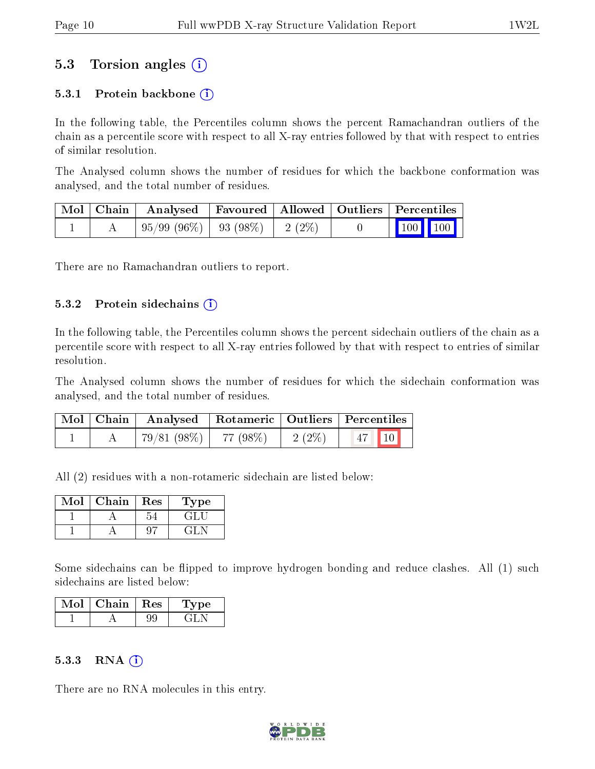## 5.3 Torsion angles (i)

#### 5.3.1 Protein backbone  $(i)$

In the following table, the Percentiles column shows the percent Ramachandran outliers of the chain as a percentile score with respect to all X-ray entries followed by that with respect to entries of similar resolution.

The Analysed column shows the number of residues for which the backbone conformation was analysed, and the total number of residues.

|  | Mol   Chain   Analysed   Favoured   Allowed   Outliers   Percentiles |  |                                                            |  |
|--|----------------------------------------------------------------------|--|------------------------------------------------------------|--|
|  | $\mid 95/99 \; (96\%) \mid 93 \; (98\%) \mid 2 \; (2\%) \mid$        |  | $\begin{array}{ c c c c }\n\hline\n100 & 100\n\end{array}$ |  |

There are no Ramachandran outliers to report.

#### $5.3.2$  Protein sidechains  $(i)$

In the following table, the Percentiles column shows the percent sidechain outliers of the chain as a percentile score with respect to all X-ray entries followed by that with respect to entries of similar resolution.

The Analysed column shows the number of residues for which the sidechain conformation was analysed, and the total number of residues.

|  | Mol   Chain   Analysed   Rotameric   Outliers   Percentiles |          |                                 |  |
|--|-------------------------------------------------------------|----------|---------------------------------|--|
|  | 79/81 (98%)   77 (98%)                                      | $2(2\%)$ | $\vert 47 \vert \vert 10 \vert$ |  |

All (2) residues with a non-rotameric sidechain are listed below:

| Mol | Chain | Res | Type |
|-----|-------|-----|------|
|     |       |     |      |
|     |       |     |      |

Some sidechains can be flipped to improve hydrogen bonding and reduce clashes. All (1) such sidechains are listed below:

| Chain   Res | vpe |
|-------------|-----|
|             |     |

#### 5.3.3 RNA  $(i)$

There are no RNA molecules in this entry.

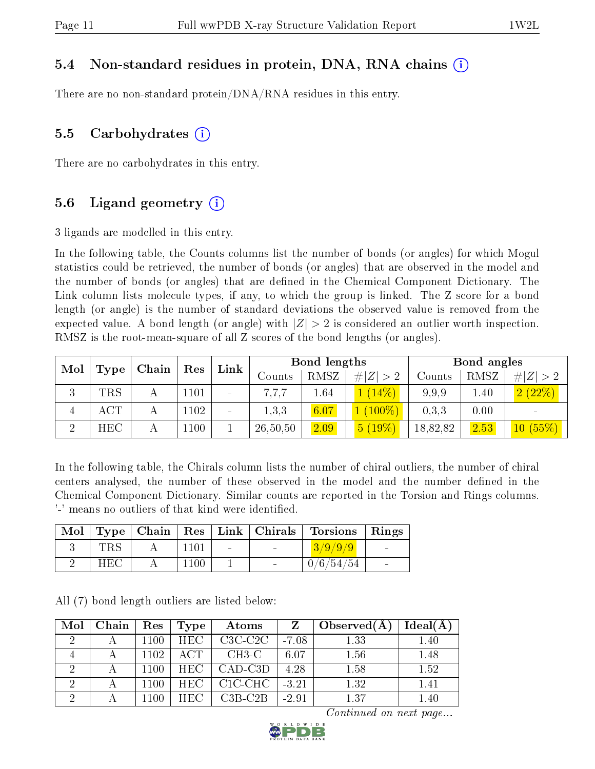### 5.4 Non-standard residues in protein, DNA, RNA chains (i)

There are no non-standard protein/DNA/RNA residues in this entry.

### 5.5 Carbohydrates  $(i)$

There are no carbohydrates in this entry.

### 5.6 Ligand geometry  $(i)$

3 ligands are modelled in this entry.

In the following table, the Counts columns list the number of bonds (or angles) for which Mogul statistics could be retrieved, the number of bonds (or angles) that are observed in the model and the number of bonds (or angles) that are dened in the Chemical Component Dictionary. The Link column lists molecule types, if any, to which the group is linked. The Z score for a bond length (or angle) is the number of standard deviations the observed value is removed from the expected value. A bond length (or angle) with  $|Z| > 2$  is considered an outlier worth inspection. RMSZ is the root-mean-square of all Z scores of the bond lengths (or angles).

| Mol<br>Type | Chain | Res | Link             | Bond lengths             |          |      | Bond angles |          |          |             |
|-------------|-------|-----|------------------|--------------------------|----------|------|-------------|----------|----------|-------------|
|             |       |     |                  |                          | Counts   | RMSZ | # $ Z  > 2$ | Counts   | RMSZ     | # $ Z  > 2$ |
| ി<br>k)     | TRS   |     | 1101             | $\overline{\phantom{a}}$ | 7.7.7    | 1.64 | (14%)       | 9.9.9    | $1.40\,$ | 2(22%)      |
| 4           | ACT   |     | 1102             | $\overline{\phantom{a}}$ | 1.3.3    | 6.07 | $(100\%)$   | 0.3.3    | 0.00     |             |
| $\Omega$    | HEC   |     | L <sub>100</sub> |                          | 26,50,50 | 2.09 | $5(19\%)$   | 18,82,82 | 2.53     | 10(55%)     |

In the following table, the Chirals column lists the number of chiral outliers, the number of chiral centers analysed, the number of these observed in the model and the number defined in the Chemical Component Dictionary. Similar counts are reported in the Torsion and Rings columns. '-' means no outliers of that kind were identified.

|     |      |            |                | Mol   Type   Chain   Res   Link   Chirals   Torsions   Rings |  |
|-----|------|------------|----------------|--------------------------------------------------------------|--|
| TRS |      | $\sim 100$ | <b>Service</b> | 3/9/9/9                                                      |  |
| HEC | 1100 |            | $\sim$         | 0/6/54/54                                                    |  |

All (7) bond length outliers are listed below:

| Mol                         | Chain        | Res  | <b>Type</b> | Atoms      | Z       | Observed $(A)$ | $Ideal(\AA)$ |
|-----------------------------|--------------|------|-------------|------------|---------|----------------|--------------|
| $\mathcal{D}_{\mathcal{A}}$ |              | 1100 | <b>HEC</b>  | $C3C-C2C$  | $-7.08$ | 1.33           | 1.40         |
|                             |              | 1102 | ACT         | $CH3-C$    | 6.07    | 1.56           | 1.48         |
|                             | $\mathbf{A}$ | 1100 | <b>HEC</b>  | $CAD$ -C3D | 4.28    | 1.58           | 1.52         |
| റ                           |              | 1100 | HEC -       | C1C-CHC    | $-3.21$ | 1.32           | 1.41         |
| ച                           |              | 1100 | HEC.        | $C3B-C2B$  | $-2.91$ | 1.37           | 1.40         |

Continued on next page...

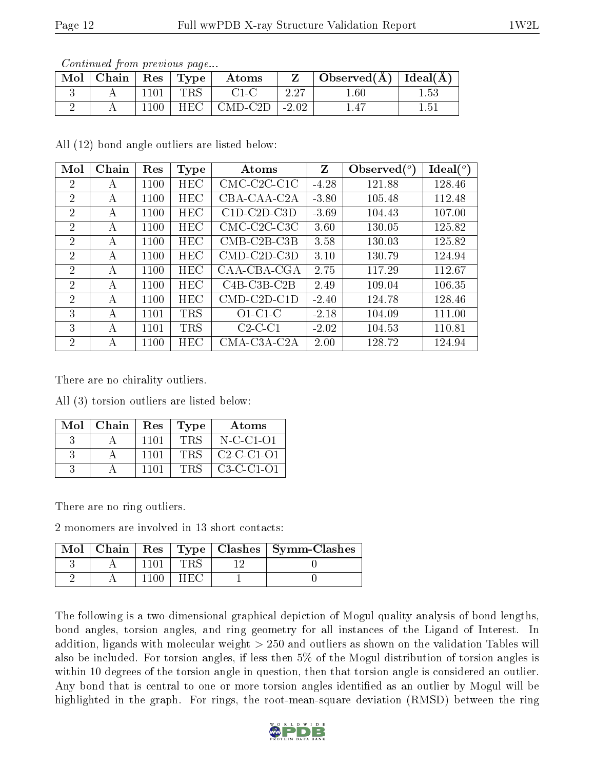| Contentation provisions page                                      |      |     |                               |      |                                    |      |  |  |  |  |  |
|-------------------------------------------------------------------|------|-----|-------------------------------|------|------------------------------------|------|--|--|--|--|--|
| $\blacksquare$ Mol $\vert$ Chain $\vert$ Res $\vert$ Type $\vert$ |      |     | $\boldsymbol{\mathrm{Atoms}}$ |      | Observed( $\AA$ )   Ideal( $\AA$ ) |      |  |  |  |  |  |
|                                                                   | 1101 | TRS | $C1-C$                        | 2.27 | $1.60\,$                           | 1.53 |  |  |  |  |  |
|                                                                   | 1100 |     | $HEC$   CMD-C2D   -2.02       |      | 1.47                               | 1.51 |  |  |  |  |  |

Continued from previous page...

All (12) bond angle outliers are listed below:

| Mol            | Chain | Res  | <b>Type</b> | Atoms                                    | Z       | Observed $(°)$ | Ideal <sup>(o)</sup> |
|----------------|-------|------|-------------|------------------------------------------|---------|----------------|----------------------|
| $\overline{2}$ | А     | 1100 | HEC         | $CMC-C2C-C1C$                            | $-4.28$ | 121.88         | 128.46               |
| $\overline{2}$ | А     | 1100 | <b>HEC</b>  | CBA-CAA-C2A                              | $-3.80$ | 105.48         | 112.48               |
| $\overline{2}$ | A     | 1100 | <b>HEC</b>  | $C1D-C2D-C3D$                            | $-3.69$ | 104.43         | 107.00               |
| $\overline{2}$ | A     | 1100 | HEC         | $CMC-C2C-C3C$                            | 3.60    | 130.05         | 125.82               |
| $\overline{2}$ | А     | 1100 | <b>HEC</b>  | $CMB-C2B-C3B$                            | 3.58    | 130.03         | 125.82               |
| $\overline{2}$ | А     | 1100 | <b>HEC</b>  | $CMD$ -C <sub>2</sub> D-C <sub>3</sub> D | 3.10    | 130.79         | 124.94               |
| $\overline{2}$ | А     | 1100 | HEC         | CAA-CBA-CGA                              | 2.75    | 117.29         | 112.67               |
| $\overline{2}$ | А     | 1100 | <b>HEC</b>  | $C4B-C3B-C2B$                            | 2.49    | 109.04         | 106.35               |
| $\overline{2}$ | A     | 1100 | <b>HEC</b>  | $CMD$ - $C2D$ - $C1D$                    | $-2.40$ | 124.78         | 128.46               |
| 3              | A     | 1101 | <b>TRS</b>  | $O1-C1-C$                                | $-2.18$ | 104.09         | 111.00               |
| 3              | А     | 1101 | <b>TRS</b>  | $C2-C1$                                  | $-2.02$ | 104.53         | 110.81               |
| 2              | А     | 1100 | HEC         | $CMA-C3A-C2A$                            | 2.00    | 128.72         | 124.94               |

There are no chirality outliers.

All (3) torsion outliers are listed below:

| $Mol$   Chain |      | Res   Type | Atoms        |
|---------------|------|------------|--------------|
|               | 1101 | <b>TRS</b> | $N$ -C-C1-O1 |
|               | 1101 | <b>TRS</b> | $C2-C1-01$   |
|               | 1101 | TRS        | $C3-C-C1-O1$ |

There are no ring outliers.

2 monomers are involved in 13 short contacts:

| Mol | Chain |      | Res   Type   Clashes   Symm-Clashes |
|-----|-------|------|-------------------------------------|
|     |       |      |                                     |
|     |       | H EG |                                     |

The following is a two-dimensional graphical depiction of Mogul quality analysis of bond lengths, bond angles, torsion angles, and ring geometry for all instances of the Ligand of Interest. In addition, ligands with molecular weight > 250 and outliers as shown on the validation Tables will also be included. For torsion angles, if less then 5% of the Mogul distribution of torsion angles is within 10 degrees of the torsion angle in question, then that torsion angle is considered an outlier. Any bond that is central to one or more torsion angles identified as an outlier by Mogul will be highlighted in the graph. For rings, the root-mean-square deviation (RMSD) between the ring

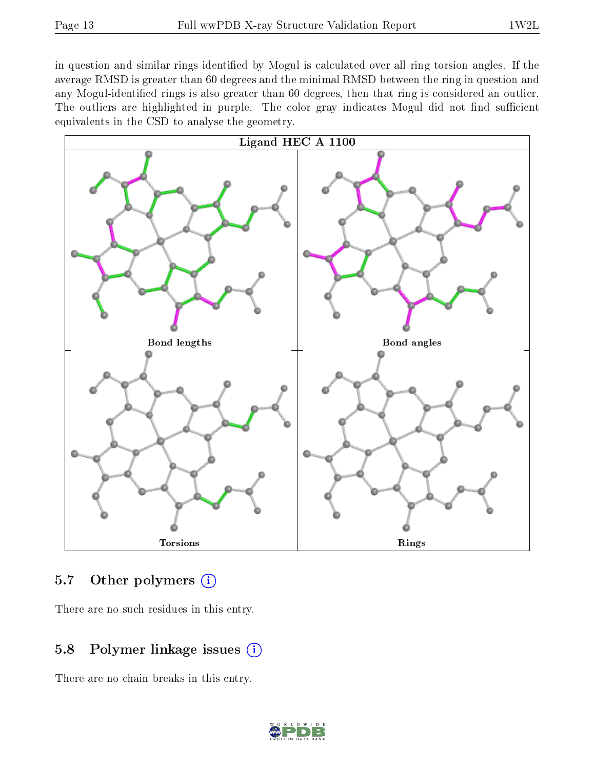in question and similar rings identified by Mogul is calculated over all ring torsion angles. If the average RMSD is greater than 60 degrees and the minimal RMSD between the ring in question and any Mogul-identied rings is also greater than 60 degrees, then that ring is considered an outlier. The outliers are highlighted in purple. The color gray indicates Mogul did not find sufficient equivalents in the CSD to analyse the geometry.



### 5.7 [O](https://www.wwpdb.org/validation/2017/XrayValidationReportHelp#nonstandard_residues_and_ligands)ther polymers (i)

There are no such residues in this entry.

## 5.8 Polymer linkage issues (i)

There are no chain breaks in this entry.